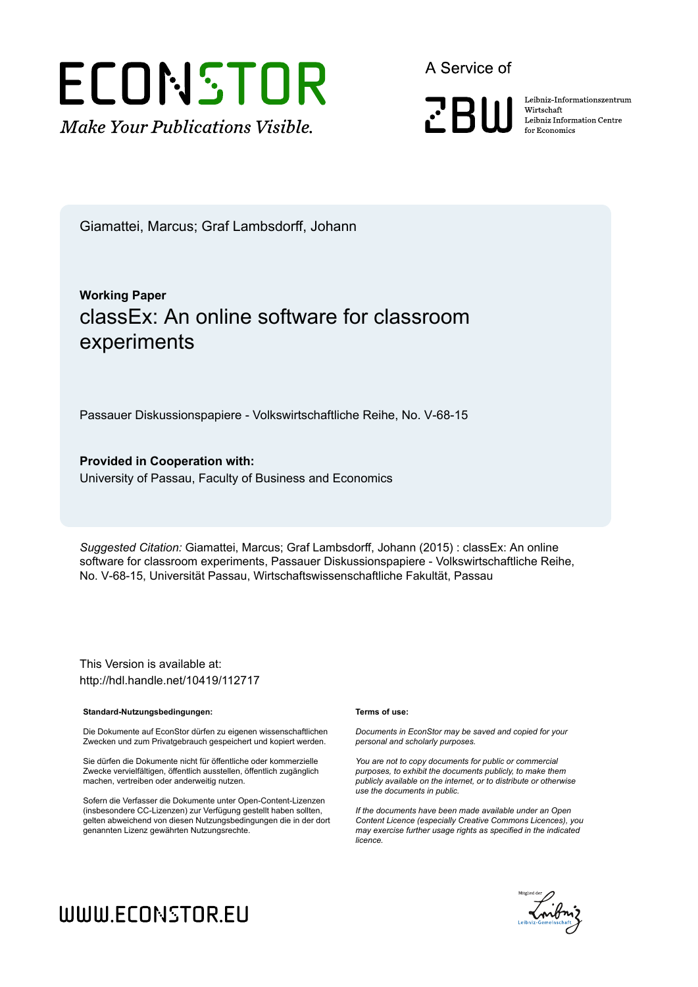

A Service of

**PRIII** 

Leibniz Informationszentrum Wirtschaft Leibniz Information Centre for Economics

Giamattei, Marcus; Graf Lambsdorff, Johann

### **Working Paper** classEx: An online software for classroom experiments

Passauer Diskussionspapiere - Volkswirtschaftliche Reihe, No. V-68-15

**Provided in Cooperation with:** University of Passau, Faculty of Business and Economics

*Suggested Citation:* Giamattei, Marcus; Graf Lambsdorff, Johann (2015) : classEx: An online software for classroom experiments, Passauer Diskussionspapiere - Volkswirtschaftliche Reihe, No. V-68-15, Universität Passau, Wirtschaftswissenschaftliche Fakultät, Passau

This Version is available at: http://hdl.handle.net/10419/112717

#### **Standard-Nutzungsbedingungen:**

Die Dokumente auf EconStor dürfen zu eigenen wissenschaftlichen Zwecken und zum Privatgebrauch gespeichert und kopiert werden.

Sie dürfen die Dokumente nicht für öffentliche oder kommerzielle Zwecke vervielfältigen, öffentlich ausstellen, öffentlich zugänglich machen, vertreiben oder anderweitig nutzen.

Sofern die Verfasser die Dokumente unter Open-Content-Lizenzen (insbesondere CC-Lizenzen) zur Verfügung gestellt haben sollten, gelten abweichend von diesen Nutzungsbedingungen die in der dort genannten Lizenz gewährten Nutzungsrechte.

#### **Terms of use:**

*Documents in EconStor may be saved and copied for your personal and scholarly purposes.*

*You are not to copy documents for public or commercial purposes, to exhibit the documents publicly, to make them publicly available on the internet, or to distribute or otherwise use the documents in public.*

*If the documents have been made available under an Open Content Licence (especially Creative Commons Licences), you may exercise further usage rights as specified in the indicated licence.*



# WWW.ECONSTOR.EU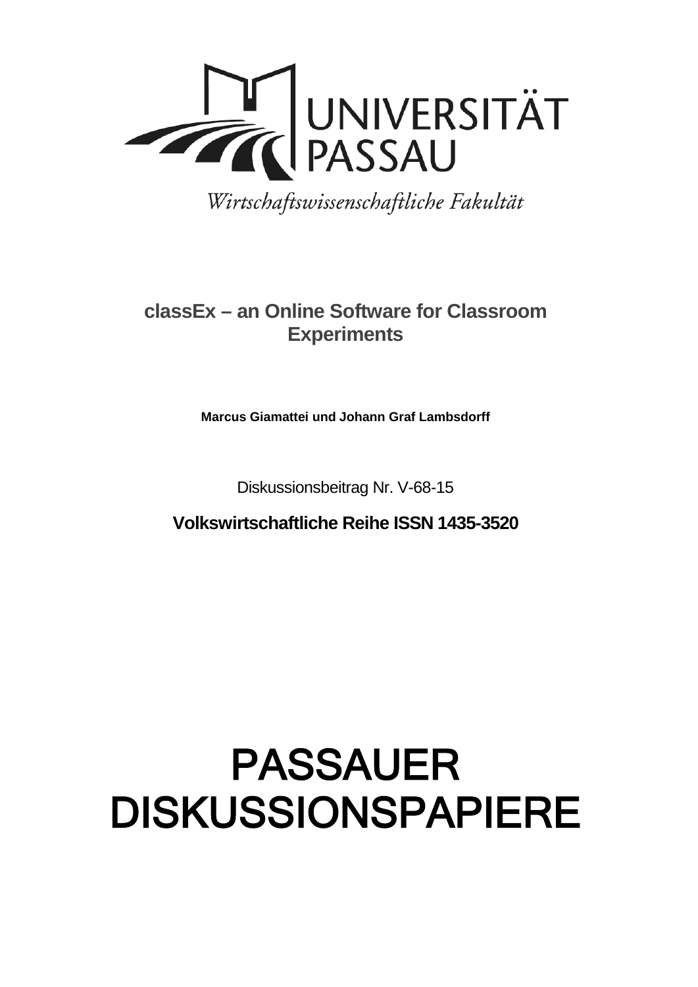

Wirtschaftswissenschaftliche Fakultät

## **classEx – an Online Software for Classroom Experiments**

**Marcus Giamattei und Johann Graf Lambsdorff**

Diskussionsbeitrag Nr. V-68-15

**Volkswirtschaftliche Reihe ISSN 1435-3520**

# PASSAUER DISKUSSIONSPAPIERE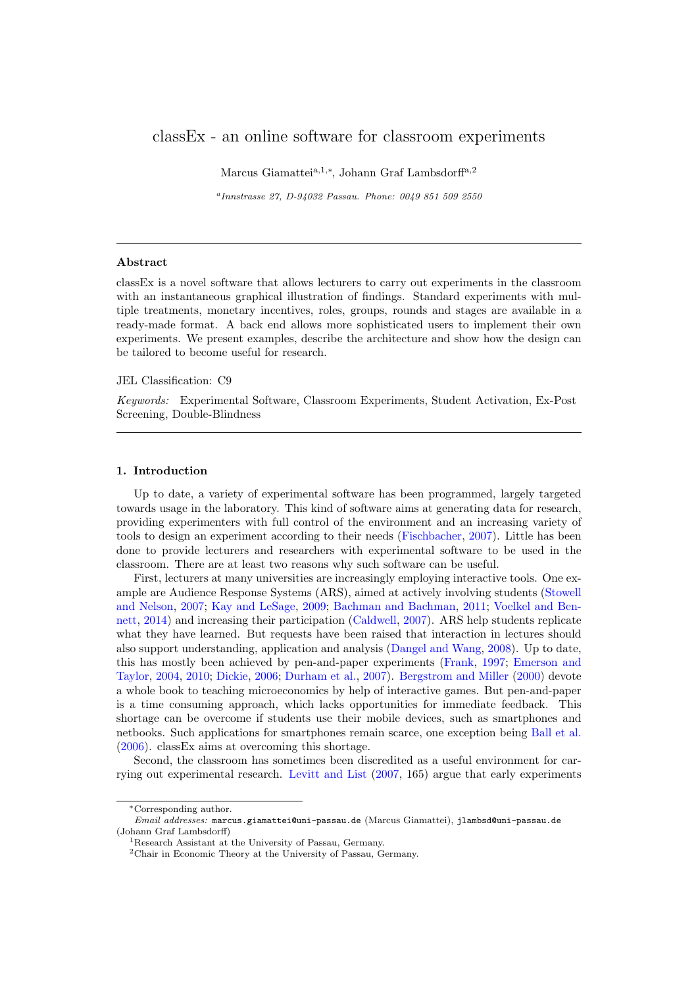#### classEx - an online software for classroom experiments

Marcus Giamattei<sup>a,1,∗</sup>, Johann Graf Lambsdorff<sup>a,2</sup>

a Innstrasse 27, D-94032 Passau. Phone: 0049 851 509 2550

#### Abstract

classEx is a novel software that allows lecturers to carry out experiments in the classroom with an instantaneous graphical illustration of findings. Standard experiments with multiple treatments, monetary incentives, roles, groups, rounds and stages are available in a ready-made format. A back end allows more sophisticated users to implement their own experiments. We present examples, describe the architecture and show how the design can be tailored to become useful for research.

#### JEL Classification: C9

Keywords: Experimental Software, Classroom Experiments, Student Activation, Ex-Post Screening, Double-Blindness

#### 1. Introduction

Up to date, a variety of experimental software has been programmed, largely targeted towards usage in the laboratory. This kind of software aims at generating data for research, providing experimenters with full control of the environment and an increasing variety of tools to design an experiment according to their needs [\(Fischbacher,](#page-14-0) [2007\)](#page-14-0). Little has been done to provide lecturers and researchers with experimental software to be used in the classroom. There are at least two reasons why such software can be useful.

First, lecturers at many universities are increasingly employing interactive tools. One example are Audience Response Systems (ARS), aimed at actively involving students [\(Stowell](#page-14-1) [and Nelson,](#page-14-1) [2007;](#page-14-1) [Kay and LeSage,](#page-14-2) [2009;](#page-14-2) [Bachman and Bachman,](#page-13-0) [2011;](#page-13-0) [Voelkel and Ben](#page-14-3)[nett,](#page-14-3) [2014\)](#page-14-3) and increasing their participation [\(Caldwell,](#page-13-1) [2007\)](#page-13-1). ARS help students replicate what they have learned. But requests have been raised that interaction in lectures should also support understanding, application and analysis [\(Dangel and Wang,](#page-14-4) [2008\)](#page-14-4). Up to date, this has mostly been achieved by pen-and-paper experiments [\(Frank,](#page-14-5) [1997;](#page-14-5) [Emerson and](#page-14-6) [Taylor,](#page-14-6) [2004,](#page-14-6) [2010;](#page-14-7) [Dickie,](#page-14-8) [2006;](#page-14-8) [Durham et al.,](#page-14-9) [2007\)](#page-14-9). [Bergstrom and Miller](#page-13-2) [\(2000\)](#page-13-2) devote a whole book to teaching microeconomics by help of interactive games. But pen-and-paper is a time consuming approach, which lacks opportunities for immediate feedback. This shortage can be overcome if students use their mobile devices, such as smartphones and netbooks. Such applications for smartphones remain scarce, one exception being [Ball et al.](#page-13-3) [\(2006\)](#page-13-3). classEx aims at overcoming this shortage.

Second, the classroom has sometimes been discredited as a useful environment for carrying out experimental research. [Levitt and List](#page-14-10) [\(2007,](#page-14-10) 165) argue that early experiments

<sup>∗</sup>Corresponding author.

Email addresses: marcus.giamattei@uni-passau.de (Marcus Giamattei), jlambsd@uni-passau.de (Johann Graf Lambsdorff)

<sup>&</sup>lt;sup>1</sup>Research Assistant at the University of Passau, Germany.

 ${}^{2}$ Chair in Economic Theory at the University of Passau, Germany.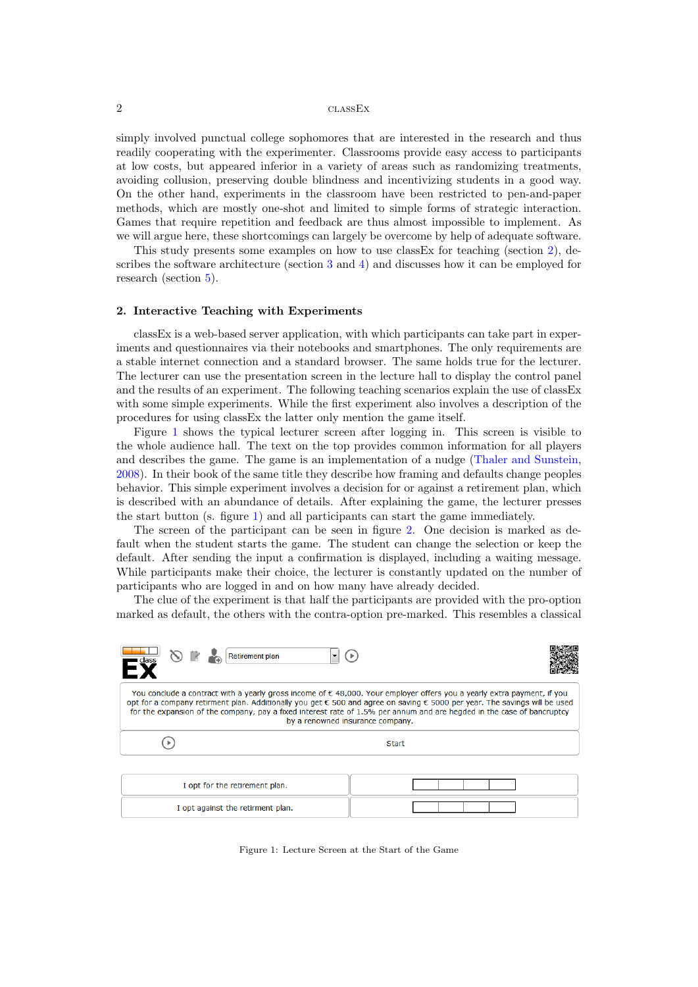simply involved punctual college sophomores that are interested in the research and thus readily cooperating with the experimenter. Classrooms provide easy access to participants at low costs, but appeared inferior in a variety of areas such as randomizing treatments, avoiding collusion, preserving double blindness and incentivizing students in a good way. On the other hand, experiments in the classroom have been restricted to pen-and-paper methods, which are mostly one-shot and limited to simple forms of strategic interaction. Games that require repetition and feedback are thus almost impossible to implement. As we will argue here, these shortcomings can largely be overcome by help of adequate software.

This study presents some examples on how to use classEx for teaching (section [2\)](#page-3-0), describes the software architecture (section [3](#page-6-0) and [4\)](#page-8-0) and discusses how it can be employed for research (section [5\)](#page-10-0).

#### <span id="page-3-0"></span>2. Interactive Teaching with Experiments

classEx is a web-based server application, with which participants can take part in experiments and questionnaires via their notebooks and smartphones. The only requirements are a stable internet connection and a standard browser. The same holds true for the lecturer. The lecturer can use the presentation screen in the lecture hall to display the control panel and the results of an experiment. The following teaching scenarios explain the use of classEx with some simple experiments. While the first experiment also involves a description of the procedures for using classEx the latter only mention the game itself.

Figure [1](#page-3-1) shows the typical lecturer screen after logging in. This screen is visible to the whole audience hall. The text on the top provides common information for all players and describes the game. The game is an implementation of a nudge [\(Thaler and Sunstein,](#page-14-11) [2008\)](#page-14-11). In their book of the same title they describe how framing and defaults change peoples behavior. This simple experiment involves a decision for or against a retirement plan, which is described with an abundance of details. After explaining the game, the lecturer presses the start button (s. figure [1\)](#page-3-1) and all participants can start the game immediately.

The screen of the participant can be seen in figure [2.](#page-4-0) One decision is marked as default when the student starts the game. The student can change the selection or keep the default. After sending the input a confirmation is displayed, including a waiting message. While participants make their choice, the lecturer is constantly updated on the number of participants who are logged in and on how many have already decided.

The clue of the experiment is that half the participants are provided with the pro-option marked as default, the others with the contra-option pre-marked. This resembles a classical

<span id="page-3-1"></span>

| <b>Retirement plan</b><br>$\overline{\phantom{a}}$ $\overline{\phantom{a}}$ $\overline{\phantom{a}}$ $\overline{\phantom{a}}$ $\overline{\phantom{a}}$ $\overline{\phantom{a}}$ $\overline{\phantom{a}}$ $\overline{\phantom{a}}$ $\overline{\phantom{a}}$ $\overline{\phantom{a}}$ $\overline{\phantom{a}}$ $\overline{\phantom{a}}$ $\overline{\phantom{a}}$ $\overline{\phantom{a}}$ $\overline{\phantom{a}}$ $\overline{\phantom{a}}$ $\overline{\phantom{a}}$ $\overline{\phantom{a}}$ $\overline{\$ |              |  |  |  |
|-----------------------------------------------------------------------------------------------------------------------------------------------------------------------------------------------------------------------------------------------------------------------------------------------------------------------------------------------------------------------------------------------------------------------------------------------------------------------------------------------------------|--------------|--|--|--|
| You conclude a contract with a yearly gross income of € 48,000. Your employer offers you a yearly extra payment, if you<br>opt for a company retirment plan. Additionally you get € 500 and agree on saving € 5000 per year. The savings will be used<br>for the expansion of the company, pay a fixed interest rate of 1.5% per annum and are hegded in the case of bancruptcy<br>by a renowned insurance company.                                                                                       |              |  |  |  |
|                                                                                                                                                                                                                                                                                                                                                                                                                                                                                                           | <b>Start</b> |  |  |  |
| I opt for the retirement plan.                                                                                                                                                                                                                                                                                                                                                                                                                                                                            |              |  |  |  |
| I opt against the retirment plan.                                                                                                                                                                                                                                                                                                                                                                                                                                                                         |              |  |  |  |

Figure 1: Lecture Screen at the Start of the Game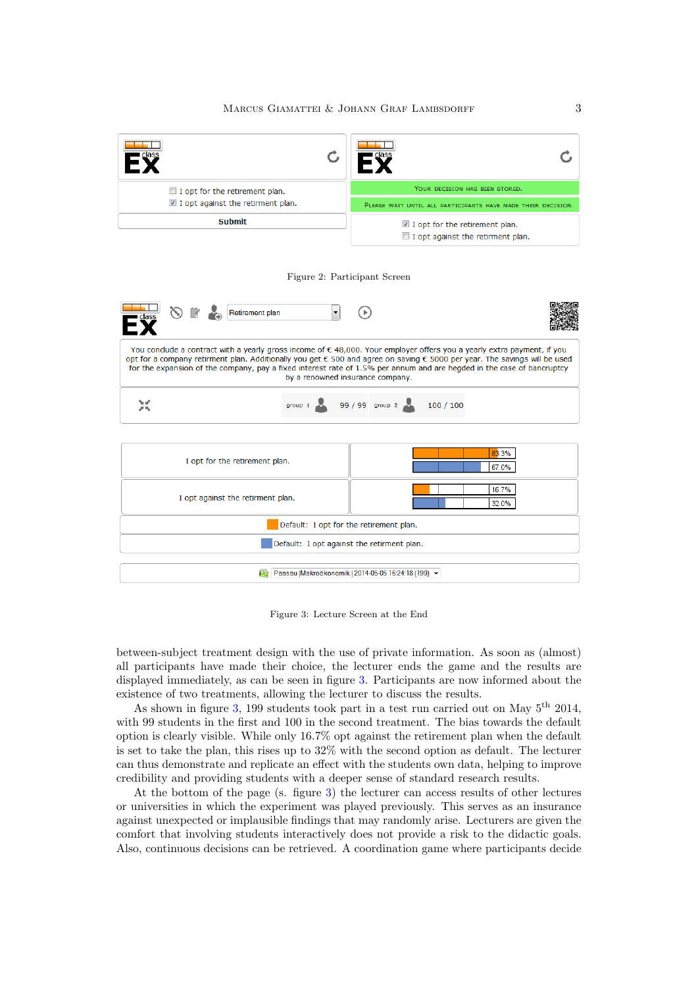<span id="page-4-1"></span><span id="page-4-0"></span>

Figure 3: Lecture Screen at the End

between-subject treatment design with the use of private information. As soon as (almost) all participants have made their choice, the lecturer ends the game and the results are displayed immediately, as can be seen in figure [3.](#page-4-1) Participants are now informed about the existence of two treatments, allowing the lecturer to discuss the results.

As shown in figure [3,](#page-4-1) 199 students took part in a test run carried out on May  $5^{\text{th}}$  2014, with 99 students in the first and 100 in the second treatment. The bias towards the default option is clearly visible. While only 16.7% opt against the retirement plan when the default is set to take the plan, this rises up to 32% with the second option as default. The lecturer can thus demonstrate and replicate an effect with the students own data, helping to improve credibility and providing students with a deeper sense of standard research results.

At the bottom of the page (s. figure [3\)](#page-4-1) the lecturer can access results of other lectures or universities in which the experiment was played previously. This serves as an insurance against unexpected or implausible findings that may randomly arise. Lecturers are given the comfort that involving students interactively does not provide a risk to the didactic goals. Also, continuous decisions can be retrieved. A coordination game where participants decide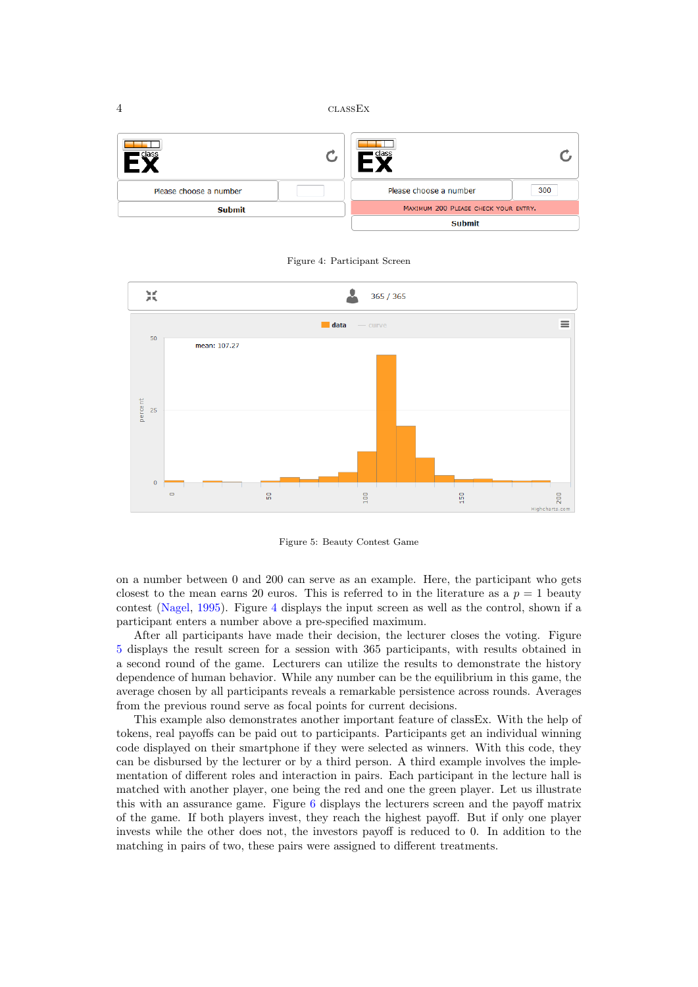<span id="page-5-0"></span>

| class                  |  | clas:                                |     |
|------------------------|--|--------------------------------------|-----|
| Please choose a number |  | Please choose a number               | 300 |
| <b>Submit</b>          |  | MAXIMUM 200 PLEASE CHECK YOUR ENTRY. |     |
|                        |  | <b>Submit</b>                        |     |

Figure 4: Participant Screen

<span id="page-5-1"></span>

Figure 5: Beauty Contest Game

on a number between 0 and 200 can serve as an example. Here, the participant who gets closest to the mean earns 20 euros. This is referred to in the literature as a  $p = 1$  beauty contest [\(Nagel,](#page-14-12) [1995\)](#page-14-12). Figure [4](#page-5-0) displays the input screen as well as the control, shown if a participant enters a number above a pre-specified maximum.

After all participants have made their decision, the lecturer closes the voting. Figure [5](#page-5-1) displays the result screen for a session with 365 participants, with results obtained in a second round of the game. Lecturers can utilize the results to demonstrate the history dependence of human behavior. While any number can be the equilibrium in this game, the average chosen by all participants reveals a remarkable persistence across rounds. Averages from the previous round serve as focal points for current decisions.

This example also demonstrates another important feature of classEx. With the help of tokens, real payoffs can be paid out to participants. Participants get an individual winning code displayed on their smartphone if they were selected as winners. With this code, they can be disbursed by the lecturer or by a third person. A third example involves the implementation of different roles and interaction in pairs. Each participant in the lecture hall is matched with another player, one being the red and one the green player. Let us illustrate this with an assurance game. Figure [6](#page-6-1) displays the lecturers screen and the payoff matrix of the game. If both players invest, they reach the highest payoff. But if only one player invests while the other does not, the investors payoff is reduced to 0. In addition to the matching in pairs of two, these pairs were assigned to different treatments.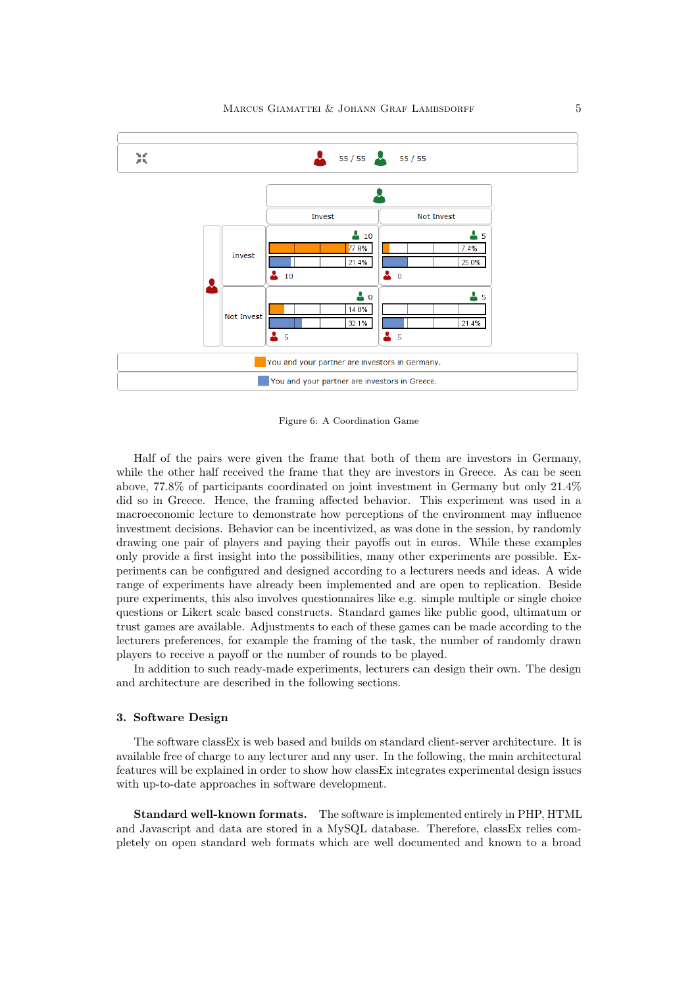<span id="page-6-1"></span>

Figure 6: A Coordination Game

Half of the pairs were given the frame that both of them are investors in Germany, while the other half received the frame that they are investors in Greece. As can be seen above, 77.8% of participants coordinated on joint investment in Germany but only 21.4% did so in Greece. Hence, the framing affected behavior. This experiment was used in a macroeconomic lecture to demonstrate how perceptions of the environment may influence investment decisions. Behavior can be incentivized, as was done in the session, by randomly drawing one pair of players and paying their payoffs out in euros. While these examples only provide a first insight into the possibilities, many other experiments are possible. Experiments can be configured and designed according to a lecturers needs and ideas. A wide range of experiments have already been implemented and are open to replication. Beside pure experiments, this also involves questionnaires like e.g. simple multiple or single choice questions or Likert scale based constructs. Standard games like public good, ultimatum or trust games are available. Adjustments to each of these games can be made according to the lecturers preferences, for example the framing of the task, the number of randomly drawn players to receive a payoff or the number of rounds to be played.

In addition to such ready-made experiments, lecturers can design their own. The design and architecture are described in the following sections.

#### <span id="page-6-0"></span>3. Software Design

The software classEx is web based and builds on standard client-server architecture. It is available free of charge to any lecturer and any user. In the following, the main architectural features will be explained in order to show how classEx integrates experimental design issues with up-to-date approaches in software development.

Standard well-known formats. The software is implemented entirely in PHP, HTML and Javascript and data are stored in a MySQL database. Therefore, classEx relies completely on open standard web formats which are well documented and known to a broad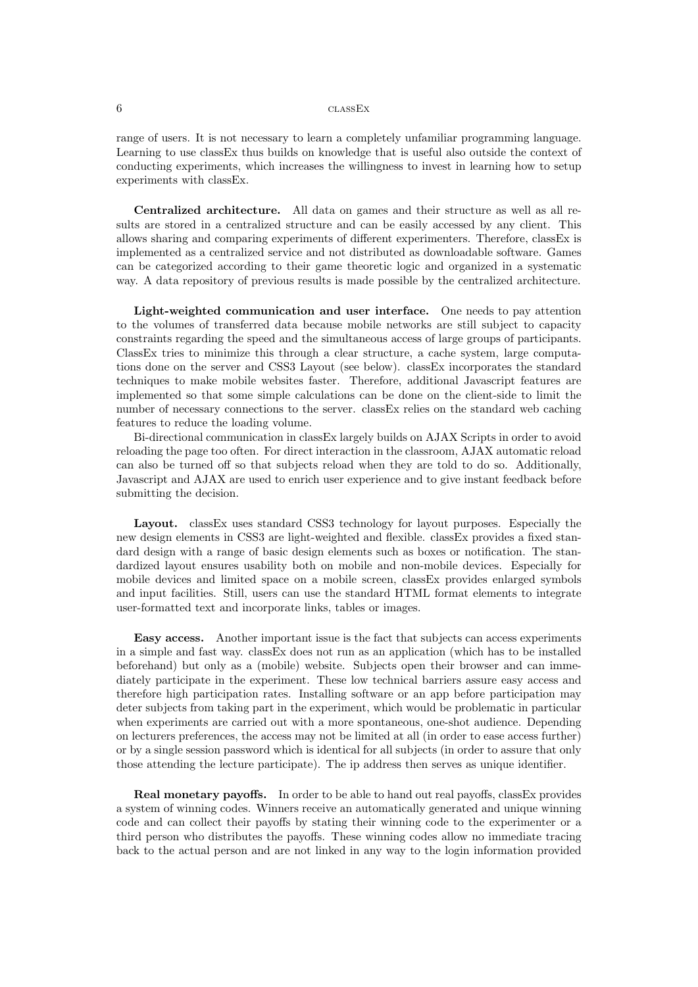range of users. It is not necessary to learn a completely unfamiliar programming language. Learning to use classEx thus builds on knowledge that is useful also outside the context of conducting experiments, which increases the willingness to invest in learning how to setup experiments with classEx.

Centralized architecture. All data on games and their structure as well as all results are stored in a centralized structure and can be easily accessed by any client. This allows sharing and comparing experiments of different experimenters. Therefore, classEx is implemented as a centralized service and not distributed as downloadable software. Games can be categorized according to their game theoretic logic and organized in a systematic way. A data repository of previous results is made possible by the centralized architecture.

Light-weighted communication and user interface. One needs to pay attention to the volumes of transferred data because mobile networks are still subject to capacity constraints regarding the speed and the simultaneous access of large groups of participants. ClassEx tries to minimize this through a clear structure, a cache system, large computations done on the server and CSS3 Layout (see below). classEx incorporates the standard techniques to make mobile websites faster. Therefore, additional Javascript features are implemented so that some simple calculations can be done on the client-side to limit the number of necessary connections to the server. classEx relies on the standard web caching features to reduce the loading volume.

Bi-directional communication in classEx largely builds on AJAX Scripts in order to avoid reloading the page too often. For direct interaction in the classroom, AJAX automatic reload can also be turned off so that subjects reload when they are told to do so. Additionally, Javascript and AJAX are used to enrich user experience and to give instant feedback before submitting the decision.

Layout. classEx uses standard CSS3 technology for layout purposes. Especially the new design elements in CSS3 are light-weighted and flexible. classEx provides a fixed standard design with a range of basic design elements such as boxes or notification. The standardized layout ensures usability both on mobile and non-mobile devices. Especially for mobile devices and limited space on a mobile screen, classEx provides enlarged symbols and input facilities. Still, users can use the standard HTML format elements to integrate user-formatted text and incorporate links, tables or images.

Easy access. Another important issue is the fact that subjects can access experiments in a simple and fast way. classEx does not run as an application (which has to be installed beforehand) but only as a (mobile) website. Subjects open their browser and can immediately participate in the experiment. These low technical barriers assure easy access and therefore high participation rates. Installing software or an app before participation may deter subjects from taking part in the experiment, which would be problematic in particular when experiments are carried out with a more spontaneous, one-shot audience. Depending on lecturers preferences, the access may not be limited at all (in order to ease access further) or by a single session password which is identical for all subjects (in order to assure that only those attending the lecture participate). The ip address then serves as unique identifier.

Real monetary payoffs. In order to be able to hand out real payoffs, classEx provides a system of winning codes. Winners receive an automatically generated and unique winning code and can collect their payoffs by stating their winning code to the experimenter or a third person who distributes the payoffs. These winning codes allow no immediate tracing back to the actual person and are not linked in any way to the login information provided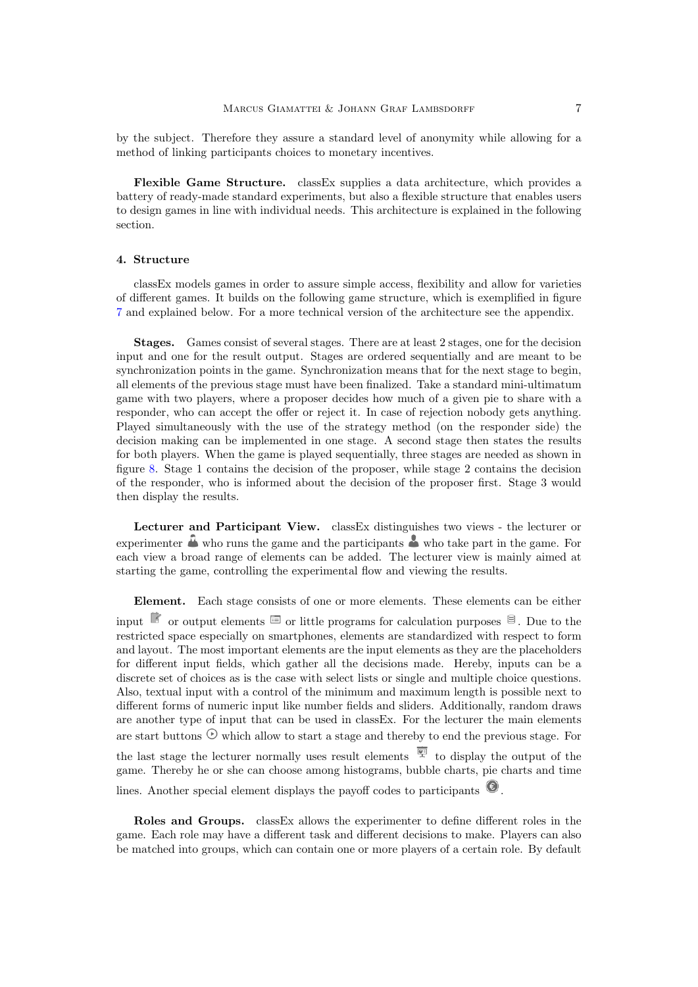by the subject. Therefore they assure a standard level of anonymity while allowing for a method of linking participants choices to monetary incentives.

Flexible Game Structure. classEx supplies a data architecture, which provides a battery of ready-made standard experiments, but also a flexible structure that enables users to design games in line with individual needs. This architecture is explained in the following section.

#### <span id="page-8-0"></span>4. Structure

classEx models games in order to assure simple access, flexibility and allow for varieties of different games. It builds on the following game structure, which is exemplified in figure [7](#page-9-0) and explained below. For a more technical version of the architecture see the appendix.

Stages. Games consist of several stages. There are at least 2 stages, one for the decision input and one for the result output. Stages are ordered sequentially and are meant to be synchronization points in the game. Synchronization means that for the next stage to begin, all elements of the previous stage must have been finalized. Take a standard mini-ultimatum game with two players, where a proposer decides how much of a given pie to share with a responder, who can accept the offer or reject it. In case of rejection nobody gets anything. Played simultaneously with the use of the strategy method (on the responder side) the decision making can be implemented in one stage. A second stage then states the results for both players. When the game is played sequentially, three stages are needed as shown in figure [8.](#page-9-1) Stage 1 contains the decision of the proposer, while stage 2 contains the decision of the responder, who is informed about the decision of the proposer first. Stage 3 would then display the results.

Lecturer and Participant View. classEx distinguishes two views - the lecturer or experimenter  $\stackrel{\bullet}{\bullet}$  who runs the game and the participants  $\stackrel{\bullet}{\bullet}$  who take part in the game. For each view a broad range of elements can be added. The lecturer view is mainly aimed at starting the game, controlling the experimental flow and viewing the results.

Element. Each stage consists of one or more elements. These elements can be either input  $\Box$  or output elements  $\Box$  or little programs for calculation purposes  $\Box$ . Due to the restricted space especially on smartphones, elements are standardized with respect to form and layout. The most important elements are the input elements as they are the placeholders for different input fields, which gather all the decisions made. Hereby, inputs can be a discrete set of choices as is the case with select lists or single and multiple choice questions. Also, textual input with a control of the minimum and maximum length is possible next to different forms of numeric input like number fields and sliders. Additionally, random draws are another type of input that can be used in classEx. For the lecturer the main elements are start buttons  $\odot$  which allow to start a stage and thereby to end the previous stage. For the last stage the lecturer normally uses result elements  $\overline{\mathbb{F}}$  to display the output of the game. Thereby he or she can choose among histograms, bubble charts, pie charts and time lines. Another special element displays the payoff codes to participants  $\bullet$ .

Roles and Groups. classEx allows the experimenter to define different roles in the game. Each role may have a different task and different decisions to make. Players can also be matched into groups, which can contain one or more players of a certain role. By default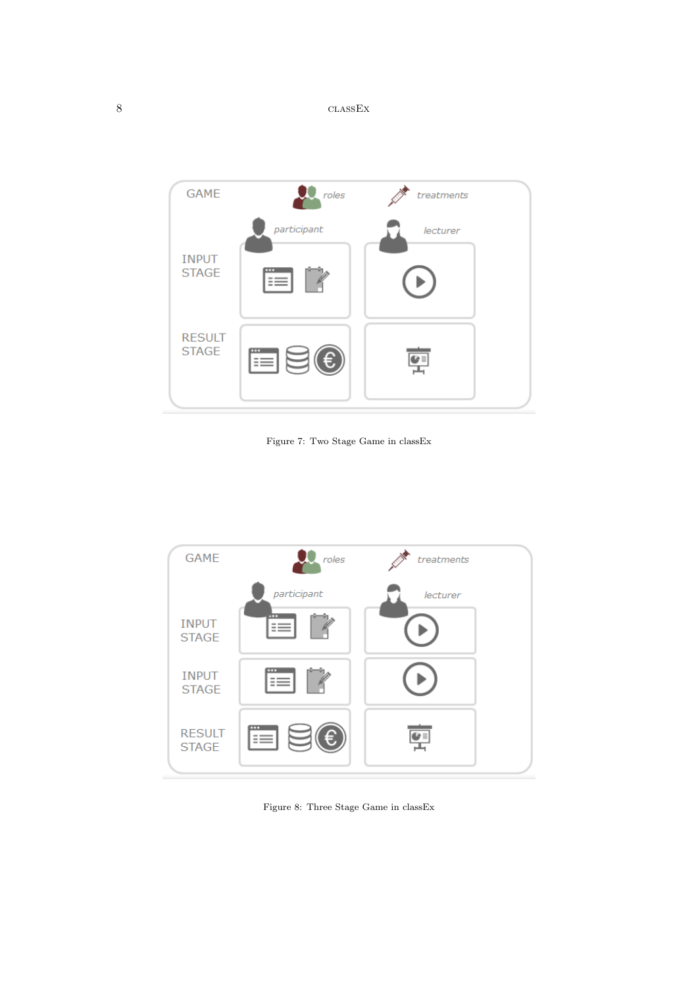<span id="page-9-0"></span>

Figure 7: Two Stage Game in classEx

<span id="page-9-1"></span>

Figure 8: Three Stage Game in classEx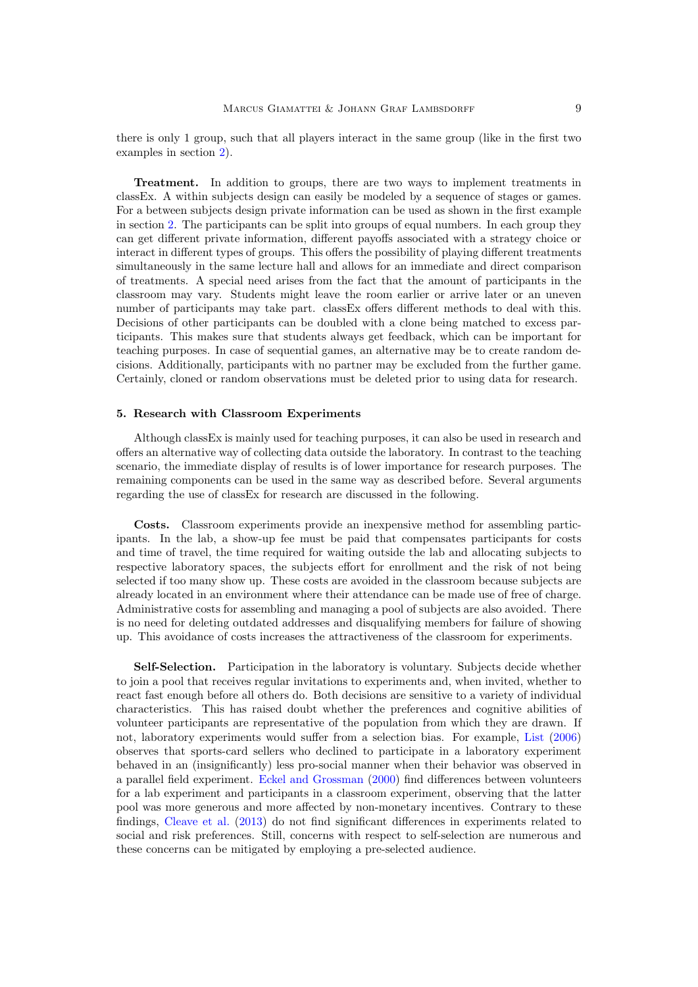there is only 1 group, such that all players interact in the same group (like in the first two examples in section [2\)](#page-3-0).

Treatment. In addition to groups, there are two ways to implement treatments in classEx. A within subjects design can easily be modeled by a sequence of stages or games. For a between subjects design private information can be used as shown in the first example in section [2.](#page-3-0) The participants can be split into groups of equal numbers. In each group they can get different private information, different payoffs associated with a strategy choice or interact in different types of groups. This offers the possibility of playing different treatments simultaneously in the same lecture hall and allows for an immediate and direct comparison of treatments. A special need arises from the fact that the amount of participants in the classroom may vary. Students might leave the room earlier or arrive later or an uneven number of participants may take part. classEx offers different methods to deal with this. Decisions of other participants can be doubled with a clone being matched to excess participants. This makes sure that students always get feedback, which can be important for teaching purposes. In case of sequential games, an alternative may be to create random decisions. Additionally, participants with no partner may be excluded from the further game. Certainly, cloned or random observations must be deleted prior to using data for research.

#### <span id="page-10-0"></span>5. Research with Classroom Experiments

Although classEx is mainly used for teaching purposes, it can also be used in research and offers an alternative way of collecting data outside the laboratory. In contrast to the teaching scenario, the immediate display of results is of lower importance for research purposes. The remaining components can be used in the same way as described before. Several arguments regarding the use of classEx for research are discussed in the following.

Costs. Classroom experiments provide an inexpensive method for assembling participants. In the lab, a show-up fee must be paid that compensates participants for costs and time of travel, the time required for waiting outside the lab and allocating subjects to respective laboratory spaces, the subjects effort for enrollment and the risk of not being selected if too many show up. These costs are avoided in the classroom because subjects are already located in an environment where their attendance can be made use of free of charge. Administrative costs for assembling and managing a pool of subjects are also avoided. There is no need for deleting outdated addresses and disqualifying members for failure of showing up. This avoidance of costs increases the attractiveness of the classroom for experiments.

Self-Selection. Participation in the laboratory is voluntary. Subjects decide whether to join a pool that receives regular invitations to experiments and, when invited, whether to react fast enough before all others do. Both decisions are sensitive to a variety of individual characteristics. This has raised doubt whether the preferences and cognitive abilities of volunteer participants are representative of the population from which they are drawn. If not, laboratory experiments would suffer from a selection bias. For example, [List](#page-14-13) [\(2006\)](#page-14-13) observes that sports-card sellers who declined to participate in a laboratory experiment behaved in an (insignificantly) less pro-social manner when their behavior was observed in a parallel field experiment. [Eckel and Grossman](#page-14-14) [\(2000\)](#page-14-14) find differences between volunteers for a lab experiment and participants in a classroom experiment, observing that the latter pool was more generous and more affected by non-monetary incentives. Contrary to these findings, [Cleave et al.](#page-13-4) [\(2013\)](#page-13-4) do not find significant differences in experiments related to social and risk preferences. Still, concerns with respect to self-selection are numerous and these concerns can be mitigated by employing a pre-selected audience.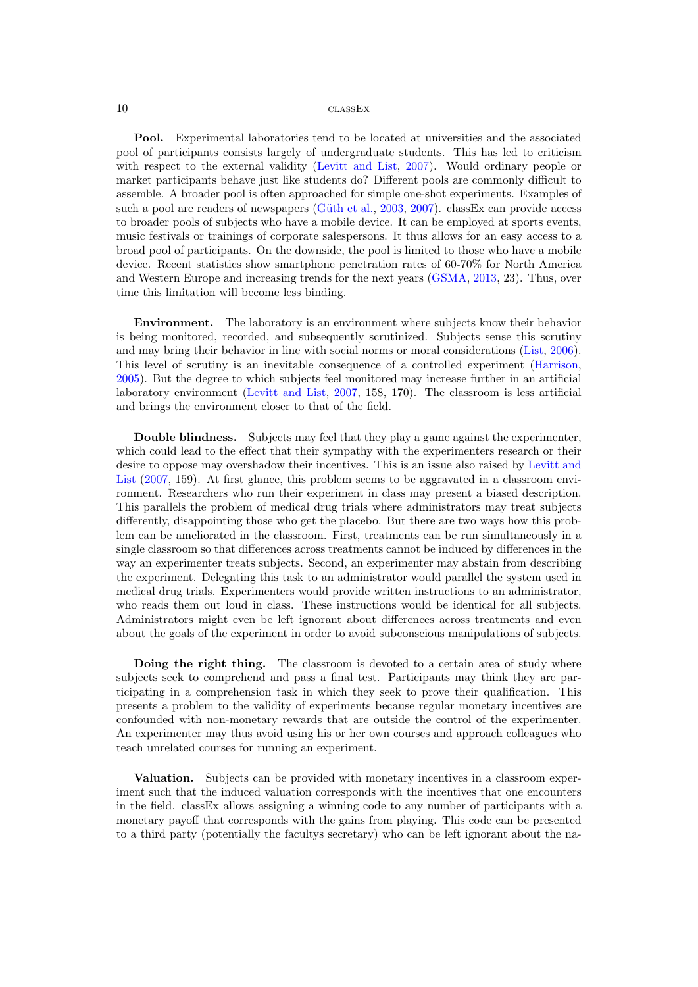Pool. Experimental laboratories tend to be located at universities and the associated pool of participants consists largely of undergraduate students. This has led to criticism with respect to the external validity [\(Levitt and List,](#page-14-10) [2007\)](#page-14-10). Would ordinary people or market participants behave just like students do? Different pools are commonly difficult to assemble. A broader pool is often approached for simple one-shot experiments. Examples of such a pool are readers of newspapers (Güth et al.,  $2003, 2007$  $2003, 2007$ ). classEx can provide access to broader pools of subjects who have a mobile device. It can be employed at sports events, music festivals or trainings of corporate salespersons. It thus allows for an easy access to a broad pool of participants. On the downside, the pool is limited to those who have a mobile device. Recent statistics show smartphone penetration rates of 60-70% for North America and Western Europe and increasing trends for the next years [\(GSMA,](#page-14-17) [2013,](#page-14-17) 23). Thus, over time this limitation will become less binding.

Environment. The laboratory is an environment where subjects know their behavior is being monitored, recorded, and subsequently scrutinized. Subjects sense this scrutiny and may bring their behavior in line with social norms or moral considerations [\(List,](#page-14-13) [2006\)](#page-14-13). This level of scrutiny is an inevitable consequence of a controlled experiment [\(Harrison,](#page-14-18) [2005\)](#page-14-18). But the degree to which subjects feel monitored may increase further in an artificial laboratory environment [\(Levitt and List,](#page-14-10) [2007,](#page-14-10) 158, 170). The classroom is less artificial and brings the environment closer to that of the field.

Double blindness. Subjects may feel that they play a game against the experimenter, which could lead to the effect that their sympathy with the experimenters research or their desire to oppose may overshadow their incentives. This is an issue also raised by [Levitt and](#page-14-10) [List](#page-14-10) [\(2007,](#page-14-10) 159). At first glance, this problem seems to be aggravated in a classroom environment. Researchers who run their experiment in class may present a biased description. This parallels the problem of medical drug trials where administrators may treat subjects differently, disappointing those who get the placebo. But there are two ways how this problem can be ameliorated in the classroom. First, treatments can be run simultaneously in a single classroom so that differences across treatments cannot be induced by differences in the way an experimenter treats subjects. Second, an experimenter may abstain from describing the experiment. Delegating this task to an administrator would parallel the system used in medical drug trials. Experimenters would provide written instructions to an administrator, who reads them out loud in class. These instructions would be identical for all subjects. Administrators might even be left ignorant about differences across treatments and even about the goals of the experiment in order to avoid subconscious manipulations of subjects.

Doing the right thing. The classroom is devoted to a certain area of study where subjects seek to comprehend and pass a final test. Participants may think they are participating in a comprehension task in which they seek to prove their qualification. This presents a problem to the validity of experiments because regular monetary incentives are confounded with non-monetary rewards that are outside the control of the experimenter. An experimenter may thus avoid using his or her own courses and approach colleagues who teach unrelated courses for running an experiment.

Valuation. Subjects can be provided with monetary incentives in a classroom experiment such that the induced valuation corresponds with the incentives that one encounters in the field. classEx allows assigning a winning code to any number of participants with a monetary payoff that corresponds with the gains from playing. This code can be presented to a third party (potentially the facultys secretary) who can be left ignorant about the na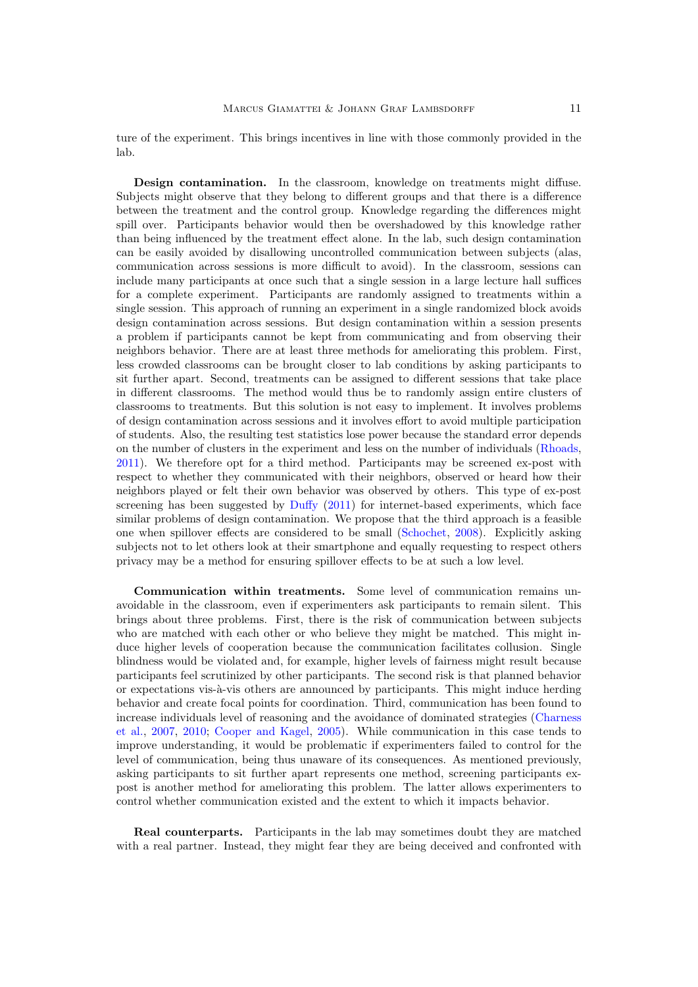ture of the experiment. This brings incentives in line with those commonly provided in the lab.

Design contamination. In the classroom, knowledge on treatments might diffuse. Subjects might observe that they belong to different groups and that there is a difference between the treatment and the control group. Knowledge regarding the differences might spill over. Participants behavior would then be overshadowed by this knowledge rather than being influenced by the treatment effect alone. In the lab, such design contamination can be easily avoided by disallowing uncontrolled communication between subjects (alas, communication across sessions is more difficult to avoid). In the classroom, sessions can include many participants at once such that a single session in a large lecture hall suffices for a complete experiment. Participants are randomly assigned to treatments within a single session. This approach of running an experiment in a single randomized block avoids design contamination across sessions. But design contamination within a session presents a problem if participants cannot be kept from communicating and from observing their neighbors behavior. There are at least three methods for ameliorating this problem. First, less crowded classrooms can be brought closer to lab conditions by asking participants to sit further apart. Second, treatments can be assigned to different sessions that take place in different classrooms. The method would thus be to randomly assign entire clusters of classrooms to treatments. But this solution is not easy to implement. It involves problems of design contamination across sessions and it involves effort to avoid multiple participation of students. Also, the resulting test statistics lose power because the standard error depends on the number of clusters in the experiment and less on the number of individuals [\(Rhoads,](#page-14-19) [2011\)](#page-14-19). We therefore opt for a third method. Participants may be screened ex-post with respect to whether they communicated with their neighbors, observed or heard how their neighbors played or felt their own behavior was observed by others. This type of ex-post screening has been suggested by  $\text{Duffy}$  $\text{Duffy}$  $\text{Duffy}$  [\(2011\)](#page-14-20) for internet-based experiments, which face similar problems of design contamination. We propose that the third approach is a feasible one when spillover effects are considered to be small [\(Schochet,](#page-14-21) [2008\)](#page-14-21). Explicitly asking subjects not to let others look at their smartphone and equally requesting to respect others privacy may be a method for ensuring spillover effects to be at such a low level.

Communication within treatments. Some level of communication remains unavoidable in the classroom, even if experimenters ask participants to remain silent. This brings about three problems. First, there is the risk of communication between subjects who are matched with each other or who believe they might be matched. This might induce higher levels of cooperation because the communication facilitates collusion. Single blindness would be violated and, for example, higher levels of fairness might result because participants feel scrutinized by other participants. The second risk is that planned behavior or expectations vis- $\grave{a}$ -vis others are announced by participants. This might induce herding behavior and create focal points for coordination. Third, communication has been found to increase individuals level of reasoning and the avoidance of dominated strategies [\(Charness](#page-13-5) [et al.,](#page-13-5) [2007,](#page-13-5) [2010;](#page-13-6) [Cooper and Kagel,](#page-14-22) [2005\)](#page-14-22). While communication in this case tends to improve understanding, it would be problematic if experimenters failed to control for the level of communication, being thus unaware of its consequences. As mentioned previously, asking participants to sit further apart represents one method, screening participants expost is another method for ameliorating this problem. The latter allows experimenters to control whether communication existed and the extent to which it impacts behavior.

Real counterparts. Participants in the lab may sometimes doubt they are matched with a real partner. Instead, they might fear they are being deceived and confronted with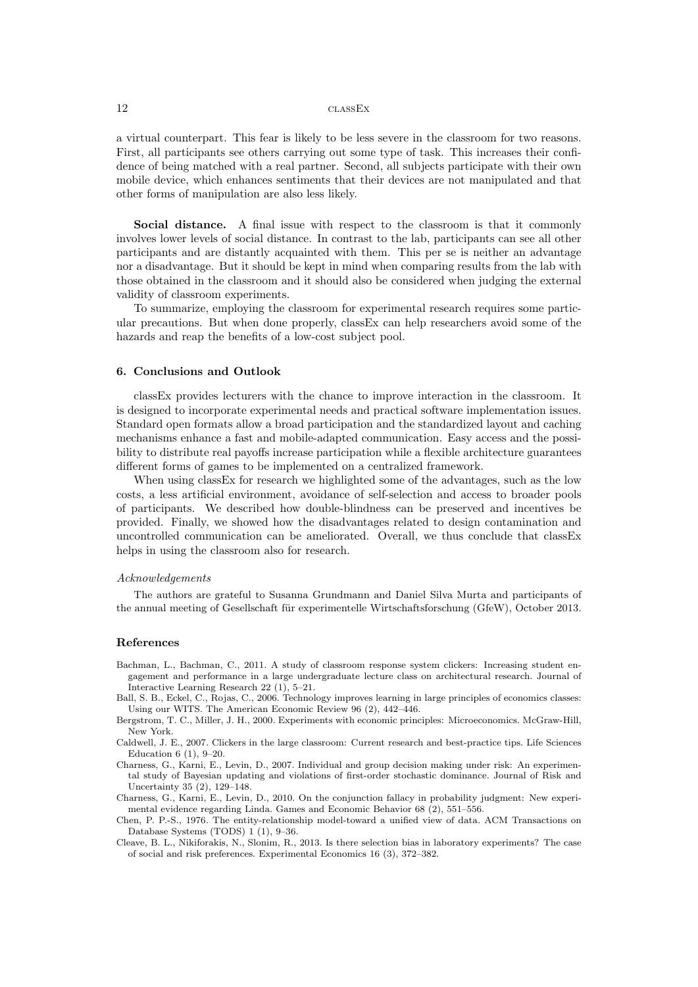a virtual counterpart. This fear is likely to be less severe in the classroom for two reasons. First, all participants see others carrying out some type of task. This increases their confidence of being matched with a real partner. Second, all subjects participate with their own mobile device, which enhances sentiments that their devices are not manipulated and that other forms of manipulation are also less likely.

Social distance. A final issue with respect to the classroom is that it commonly involves lower levels of social distance. In contrast to the lab, participants can see all other participants and are distantly acquainted with them. This per se is neither an advantage nor a disadvantage. But it should be kept in mind when comparing results from the lab with those obtained in the classroom and it should also be considered when judging the external validity of classroom experiments.

To summarize, employing the classroom for experimental research requires some particular precautions. But when done properly, classEx can help researchers avoid some of the hazards and reap the benefits of a low-cost subject pool.

#### 6. Conclusions and Outlook

classEx provides lecturers with the chance to improve interaction in the classroom. It is designed to incorporate experimental needs and practical software implementation issues. Standard open formats allow a broad participation and the standardized layout and caching mechanisms enhance a fast and mobile-adapted communication. Easy access and the possibility to distribute real payoffs increase participation while a flexible architecture guarantees different forms of games to be implemented on a centralized framework.

When using classEx for research we highlighted some of the advantages, such as the low costs, a less artificial environment, avoidance of self-selection and access to broader pools of participants. We described how double-blindness can be preserved and incentives be provided. Finally, we showed how the disadvantages related to design contamination and uncontrolled communication can be ameliorated. Overall, we thus conclude that classEx helps in using the classroom also for research.

#### Acknowledgements

The authors are grateful to Susanna Grundmann and Daniel Silva Murta and participants of the annual meeting of Gesellschaft für experimentelle Wirtschaftsforschung (GfeW), October 2013.

#### References

- <span id="page-13-0"></span>Bachman, L., Bachman, C., 2011. A study of classroom response system clickers: Increasing student engagement and performance in a large undergraduate lecture class on architectural research. Journal of Interactive Learning Research 22 (1), 5–21.
- <span id="page-13-3"></span>Ball, S. B., Eckel, C., Rojas, C., 2006. Technology improves learning in large principles of economics classes: Using our WITS. The American Economic Review 96 (2), 442–446.
- <span id="page-13-2"></span>Bergstrom, T. C., Miller, J. H., 2000. Experiments with economic principles: Microeconomics. McGraw-Hill, New York.
- <span id="page-13-1"></span>Caldwell, J. E., 2007. Clickers in the large classroom: Current research and best-practice tips. Life Sciences Education 6 (1), 9–20.
- <span id="page-13-5"></span>Charness, G., Karni, E., Levin, D., 2007. Individual and group decision making under risk: An experimental study of Bayesian updating and violations of first-order stochastic dominance. Journal of Risk and Uncertainty 35 (2), 129–148.
- <span id="page-13-6"></span>Charness, G., Karni, E., Levin, D., 2010. On the conjunction fallacy in probability judgment: New experimental evidence regarding Linda. Games and Economic Behavior 68 (2), 551–556.
- <span id="page-13-7"></span>Chen, P. P.-S., 1976. The entity-relationship model-toward a unified view of data. ACM Transactions on Database Systems (TODS) 1 (1), 9–36.
- <span id="page-13-4"></span>Cleave, B. L., Nikiforakis, N., Slonim, R., 2013. Is there selection bias in laboratory experiments? The case of social and risk preferences. Experimental Economics 16 (3), 372–382.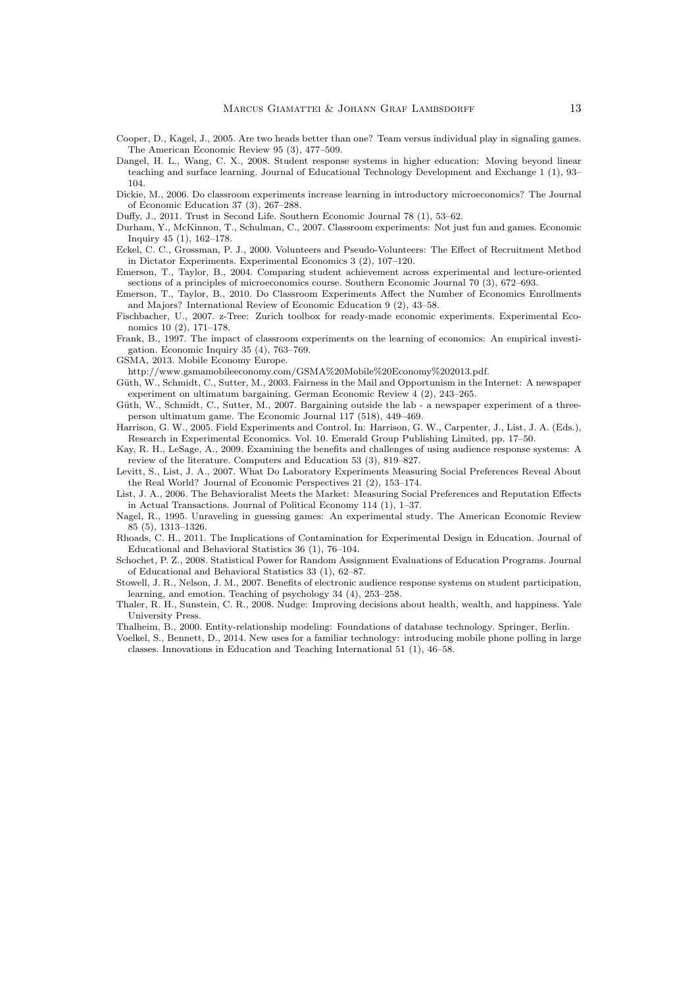- <span id="page-14-22"></span>Cooper, D., Kagel, J., 2005. Are two heads better than one? Team versus individual play in signaling games. The American Economic Review 95 (3), 477–509.
- <span id="page-14-4"></span>Dangel, H. L., Wang, C. X., 2008. Student response systems in higher education: Moving beyond linear teaching and surface learning. Journal of Educational Technology Development and Exchange 1 (1), 93– 104.
- <span id="page-14-8"></span>Dickie, M., 2006. Do classroom experiments increase learning in introductory microeconomics? The Journal of Economic Education 37 (3), 267–288.
- <span id="page-14-20"></span>Duffy, J., 2011. Trust in Second Life. Southern Economic Journal 78 (1), 53–62.
- <span id="page-14-9"></span>Durham, Y., McKinnon, T., Schulman, C., 2007. Classroom experiments: Not just fun and games. Economic Inquiry 45 (1), 162–178.
- <span id="page-14-14"></span>Eckel, C. C., Grossman, P. J., 2000. Volunteers and Pseudo-Volunteers: The Effect of Recruitment Method in Dictator Experiments. Experimental Economics 3 (2), 107–120.
- <span id="page-14-6"></span>Emerson, T., Taylor, B., 2004. Comparing student achievement across experimental and lecture-oriented sections of a principles of microeconomics course. Southern Economic Journal 70 (3), 672–693.
- <span id="page-14-7"></span>Emerson, T., Taylor, B., 2010. Do Classroom Experiments Affect the Number of Economics Enrollments and Majors? International Review of Economic Education 9 (2), 43–58.
- <span id="page-14-0"></span>Fischbacher, U., 2007. z-Tree: Zurich toolbox for ready-made economic experiments. Experimental Economics 10 (2), 171–178.
- <span id="page-14-5"></span>Frank, B., 1997. The impact of classroom experiments on the learning of economics: An empirical investigation. Economic Inquiry 35 (4), 763–769.
- <span id="page-14-17"></span>GSMA, 2013. Mobile Economy Europe.

http://www.gsmamobileeconomy.com/GSMA%20Mobile%20Economy%202013.pdf.

- <span id="page-14-15"></span>Güth, W., Schmidt, C., Sutter, M., 2003. Fairness in the Mail and Opportunism in the Internet: A newspaper experiment on ultimatum bargaining. German Economic Review 4 (2), 243–265.
- <span id="page-14-16"></span>Güth, W., Schmidt, C., Sutter, M., 2007. Bargaining outside the lab - a newspaper experiment of a threeperson ultimatum game. The Economic Journal 117 (518), 449–469.
- <span id="page-14-18"></span>Harrison, G. W., 2005. Field Experiments and Control. In: Harrison, G. W., Carpenter, J., List, J. A. (Eds.), Research in Experimental Economics. Vol. 10. Emerald Group Publishing Limited, pp. 17–50.
- <span id="page-14-2"></span>Kay, R. H., LeSage, A., 2009. Examining the benefits and challenges of using audience response systems: A review of the literature. Computers and Education 53 (3), 819–827.
- <span id="page-14-10"></span>Levitt, S., List, J. A., 2007. What Do Laboratory Experiments Measuring Social Preferences Reveal About the Real World? Journal of Economic Perspectives 21 (2), 153–174.
- <span id="page-14-13"></span>List, J. A., 2006. The Behavioralist Meets the Market: Measuring Social Preferences and Reputation Effects in Actual Transactions. Journal of Political Economy 114 (1), 1–37.
- <span id="page-14-12"></span>Nagel, R., 1995. Unraveling in guessing games: An experimental study. The American Economic Review 85 (5), 1313–1326.
- <span id="page-14-19"></span>Rhoads, C. H., 2011. The Implications of Contamination for Experimental Design in Education. Journal of Educational and Behavioral Statistics 36 (1), 76–104.
- <span id="page-14-21"></span>Schochet, P. Z., 2008. Statistical Power for Random Assignment Evaluations of Education Programs. Journal of Educational and Behavioral Statistics 33 (1), 62–87.
- <span id="page-14-1"></span>Stowell, J. R., Nelson, J. M., 2007. Benefits of electronic audience response systems on student participation, learning, and emotion. Teaching of psychology 34 (4), 253–258.
- <span id="page-14-11"></span>Thaler, R. H., Sunstein, C. R., 2008. Nudge: Improving decisions about health, wealth, and happiness. Yale University Press.
- <span id="page-14-23"></span><span id="page-14-3"></span>Thalheim, B., 2000. Entity-relationship modeling: Foundations of database technology. Springer, Berlin.
- Voelkel, S., Bennett, D., 2014. New uses for a familiar technology: introducing mobile phone polling in large classes. Innovations in Education and Teaching International 51 (1), 46–58.